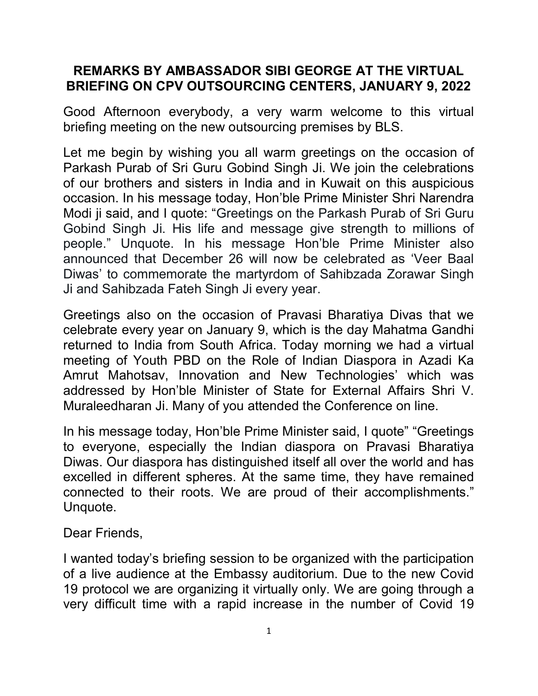## REMARKS BY AMBASSADOR SIBI GEORGE AT THE VIRTUAL BRIEFING ON CPV OUTSOURCING CENTERS, JANUARY 9, 2022

Good Afternoon everybody, a very warm welcome to this virtual briefing meeting on the new outsourcing premises by BLS.

Let me begin by wishing you all warm greetings on the occasion of Parkash Purab of Sri Guru Gobind Singh Ji. We join the celebrations of our brothers and sisters in India and in Kuwait on this auspicious occasion. In his message today, Hon'ble Prime Minister Shri Narendra Modi ji said, and I quote: "Greetings on the Parkash Purab of Sri Guru Gobind Singh Ji. His life and message give strength to millions of people." Unquote. In his message Hon'ble Prime Minister also announced that December 26 will now be celebrated as 'Veer Baal Diwas' to commemorate the martyrdom of Sahibzada Zorawar Singh Ji and Sahibzada Fateh Singh Ji every year.

Greetings also on the occasion of Pravasi Bharatiya Divas that we celebrate every year on January 9, which is the day Mahatma Gandhi returned to India from South Africa. Today morning we had a virtual meeting of Youth PBD on the Role of Indian Diaspora in Azadi Ka Amrut Mahotsav, Innovation and New Technologies' which was addressed by Hon'ble Minister of State for External Affairs Shri V. Muraleedharan Ji. Many of you attended the Conference on line.

In his message today, Hon'ble Prime Minister said, I quote" "Greetings to everyone, especially the Indian diaspora on Pravasi Bharatiya Diwas. Our diaspora has distinguished itself all over the world and has excelled in different spheres. At the same time, they have remained connected to their roots. We are proud of their accomplishments." Unquote.

## Dear Friends,

I wanted today's briefing session to be organized with the participation of a live audience at the Embassy auditorium. Due to the new Covid 19 protocol we are organizing it virtually only. We are going through a very difficult time with a rapid increase in the number of Covid 19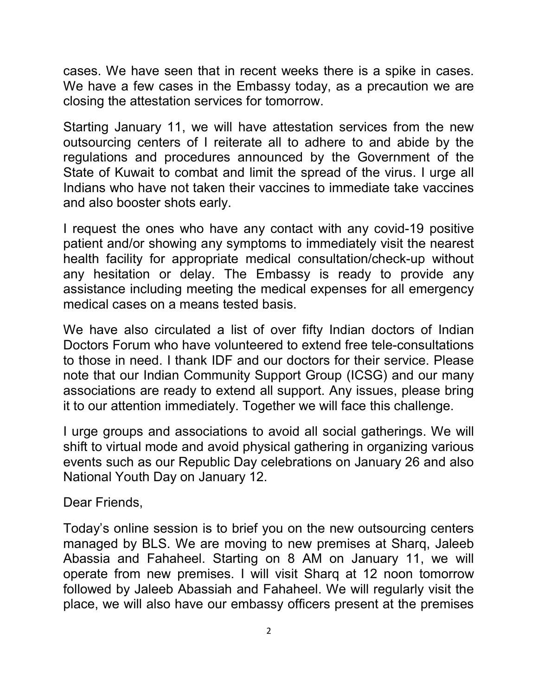cases. We have seen that in recent weeks there is a spike in cases. We have a few cases in the Embassy today, as a precaution we are closing the attestation services for tomorrow.

Starting January 11, we will have attestation services from the new outsourcing centers of I reiterate all to adhere to and abide by the regulations and procedures announced by the Government of the State of Kuwait to combat and limit the spread of the virus. I urge all Indians who have not taken their vaccines to immediate take vaccines and also booster shots early.

I request the ones who have any contact with any covid-19 positive patient and/or showing any symptoms to immediately visit the nearest health facility for appropriate medical consultation/check-up without any hesitation or delay. The Embassy is ready to provide any assistance including meeting the medical expenses for all emergency medical cases on a means tested basis.

We have also circulated a list of over fifty Indian doctors of Indian Doctors Forum who have volunteered to extend free tele-consultations to those in need. I thank IDF and our doctors for their service. Please note that our Indian Community Support Group (ICSG) and our many associations are ready to extend all support. Any issues, please bring it to our attention immediately. Together we will face this challenge.

I urge groups and associations to avoid all social gatherings. We will shift to virtual mode and avoid physical gathering in organizing various events such as our Republic Day celebrations on January 26 and also National Youth Day on January 12.

Dear Friends,

Today's online session is to brief you on the new outsourcing centers managed by BLS. We are moving to new premises at Sharq, Jaleeb Abassia and Fahaheel. Starting on 8 AM on January 11, we will operate from new premises. I will visit Sharq at 12 noon tomorrow followed by Jaleeb Abassiah and Fahaheel. We will regularly visit the place, we will also have our embassy officers present at the premises